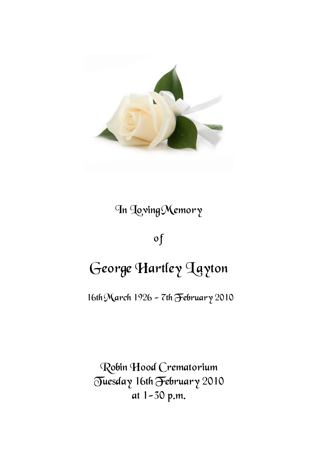

## In Loving Memory

### of

# George Hartley Layton

16th March 1926 - 7th February 2010

Robin Hood Crematorium Tuesday 16th February 2010 at 1-30 p.m.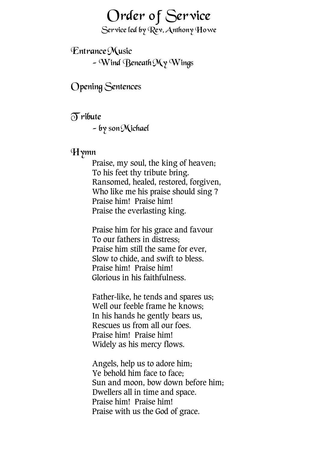## Order of Service

Service led by Rev. Anthony Howe

Entrance Music  $-$  Wind Beneath My Wings

Opening Sentences

 $\delta$ ribute

- by son Michael

#### Hymn

Praise, my soul, the king of heaven; To his feet thy tribute bring. Ransomed, healed, restored, forgiven, Who like me his praise should sing ? Praise him! Praise him! Praise the everlasting king.

Praise him for his grace and favour To our fathers in distress; Praise him still the same for ever, Slow to chide, and swift to bless. Praise him! Praise him! Glorious in his faithfulness.

Father-like, he tends and spares us; Well our feeble frame he knows; In his hands he gently bears us, Rescues us from all our foes. Praise him! Praise him! Widely as his mercy flows.

Angels, help us to adore him; Ye behold him face to face; Sun and moon, bow down before him; Dwellers all in time and space. Praise him! Praise him! Praise with us the God of grace.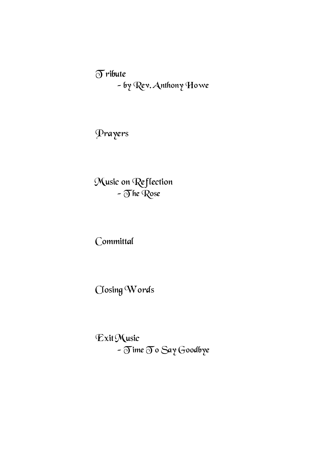$\delta$ ribute - by Rev. Anthony Howe

Prayers

Music on Reflection - The Rose

Committal

Closing Words

Exit Music - Time To Say Goodbye